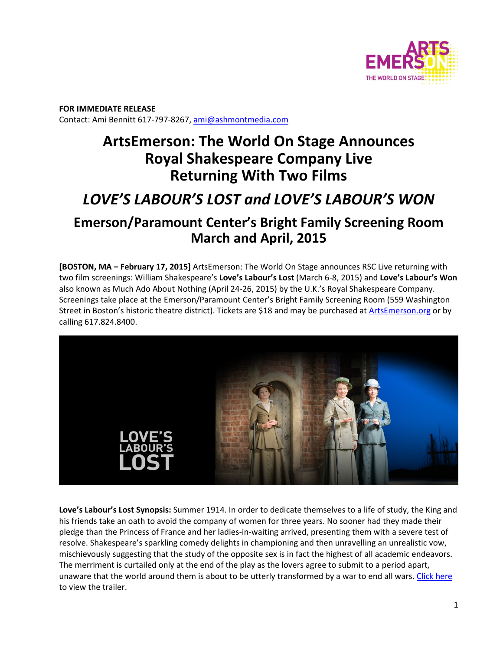

**FOR IMMEDIATE RELEASE**  Contact: Ami Bennitt 617‐797‐8267, ami@ashmontmedia.com

## **ArtsEmerson: The World On Stage Announces Royal Shakespeare Company Live Returning With Two Films**

# *LOVE'S LABOUR'S LOST and LOVE'S LABOUR'S WON*

### **Emerson/Paramount Center's Bright Family Screening Room March and April, 2015**

**[BOSTON, MA – February 17, 2015]** ArtsEmerson: The World On Stage announces RSC Live returning with two film screenings: William Shakespeare's **Love's Labour's Lost** (March 6‐8, 2015) and **Love's Labour's Won**  also known as Much Ado About Nothing (April 24‐26, 2015) by the U.K.'s Royal Shakespeare Company. Screenings take place at the Emerson/Paramount Center's Bright Family Screening Room (559 Washington Street in Boston's historic theatre district). Tickets are \$18 and may be purchased at ArtsEmerson.org or by calling 617.824.8400.



**Love's Labour's Lost Synopsis:** Summer 1914. In order to dedicate themselves to a life of study, the King and his friends take an oath to avoid the company of women for three years. No sooner had they made their pledge than the Princess of France and her ladies‐in‐waiting arrived, presenting them with a severe test of resolve. Shakespeare's sparkling comedy delights in championing and then unravelling an unrealistic vow, mischievously suggesting that the study of the opposite sex is in fact the highest of all academic endeavors. The merriment is curtailed only at the end of the play as the lovers agree to submit to a period apart, unaware that the world around them is about to be utterly transformed by a war to end all wars. Click here to view the trailer.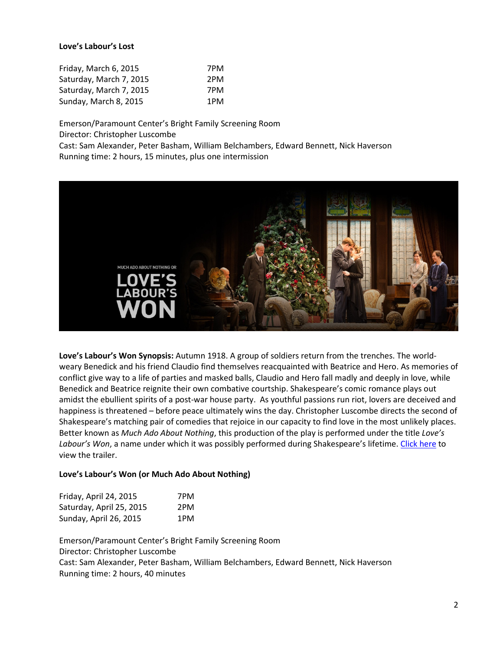#### **Love's Labour's Lost**

| Friday, March 6, 2015   | 7PM |
|-------------------------|-----|
| Saturday, March 7, 2015 | 2PM |
| Saturday, March 7, 2015 | 7PM |
| Sunday, March 8, 2015   | 1PM |

Emerson/Paramount Center's Bright Family Screening Room Director: Christopher Luscombe Cast: Sam Alexander, Peter Basham, William Belchambers, Edward Bennett, Nick Haverson Running time: 2 hours, 15 minutes, plus one intermission



**Love's Labour's Won Synopsis:** Autumn 1918. A group of soldiers return from the trenches. The world‐ weary Benedick and his friend Claudio find themselves reacquainted with Beatrice and Hero. As memories of conflict give way to a life of parties and masked balls, Claudio and Hero fall madly and deeply in love, while Benedick and Beatrice reignite their own combative courtship. Shakespeare's comic romance plays out amidst the ebullient spirits of a post‐war house party. As youthful passions run riot, lovers are deceived and happiness is threatened – before peace ultimately wins the day. Christopher Luscombe directs the second of Shakespeare's matching pair of comedies that rejoice in our capacity to find love in the most unlikely places. Better known as *Much Ado About Nothing*, this production of the play is performed under the title *Love's Labour's Won*, a name under which it was possibly performed during Shakespeare's lifetime. Click here to view the trailer.

#### **Love's Labour's Won (or Much Ado About Nothing)**

| Friday, April 24, 2015   | 7PM |
|--------------------------|-----|
| Saturday, April 25, 2015 | 2PM |
| Sunday, April 26, 2015   | 1PM |

Emerson/Paramount Center's Bright Family Screening Room Director: Christopher Luscombe Cast: Sam Alexander, Peter Basham, William Belchambers, Edward Bennett, Nick Haverson Running time: 2 hours, 40 minutes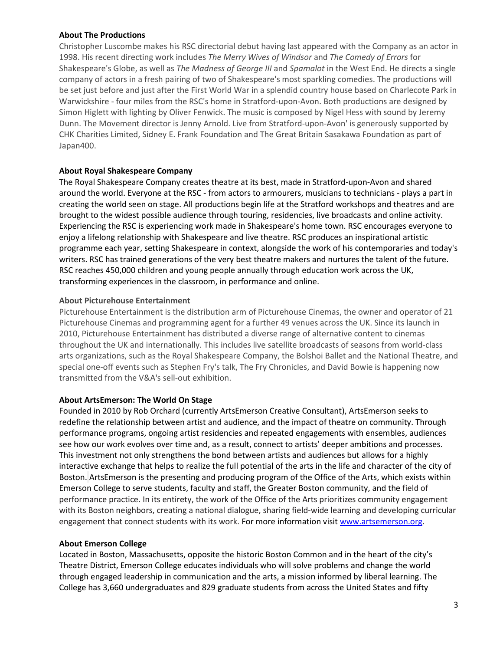#### **About The Productions**

Christopher Luscombe makes his RSC directorial debut having last appeared with the Company as an actor in 1998. His recent directing work includes *The Merry Wives of Windsor* and *The Comedy of Errors* for Shakespeare's Globe, as well as *The Madness of George III* and *Spamalot* in the West End. He directs a single company of actors in a fresh pairing of two of Shakespeare's most sparkling comedies. The productions will be set just before and just after the First World War in a splendid country house based on Charlecote Park in Warwickshire ‐ four miles from the RSC's home in Stratford‐upon‐Avon. Both productions are designed by Simon Higlett with lighting by Oliver Fenwick. The music is composed by Nigel Hess with sound by Jeremy Dunn. The Movement director is Jenny Arnold. Live from Stratford‐upon‐Avon' is generously supported by CHK Charities Limited, Sidney E. Frank Foundation and The Great Britain Sasakawa Foundation as part of Japan400.

#### **About Royal Shakespeare Company**

The Royal Shakespeare Company creates theatre at its best, made in Stratford‐upon‐Avon and shared around the world. Everyone at the RSC ‐ from actors to armourers, musicians to technicians ‐ plays a part in creating the world seen on stage. All productions begin life at the Stratford workshops and theatres and are brought to the widest possible audience through touring, residencies, live broadcasts and online activity. Experiencing the RSC is experiencing work made in Shakespeare's home town. RSC encourages everyone to enjoy a lifelong relationship with Shakespeare and live theatre. RSC produces an inspirational artistic programme each year, setting Shakespeare in context, alongside the work of his contemporaries and today's writers. RSC has trained generations of the very best theatre makers and nurtures the talent of the future. RSC reaches 450,000 children and young people annually through education work across the UK, transforming experiences in the classroom, in performance and online.

#### **About Picturehouse Entertainment**

Picturehouse Entertainment is the distribution arm of Picturehouse Cinemas, the owner and operator of 21 Picturehouse Cinemas and programming agent for a further 49 venues across the UK. Since its launch in 2010, Picturehouse Entertainment has distributed a diverse range of alternative content to cinemas throughout the UK and internationally. This includes live satellite broadcasts of seasons from world‐class arts organizations, such as the Royal Shakespeare Company, the Bolshoi Ballet and the National Theatre, and special one-off events such as Stephen Fry's talk, The Fry Chronicles, and David Bowie is happening now transmitted from the V&A's sell‐out exhibition.

#### **About ArtsEmerson: The World On Stage**

Founded in 2010 by Rob Orchard (currently ArtsEmerson Creative Consultant), ArtsEmerson seeks to redefine the relationship between artist and audience, and the impact of theatre on community. Through performance programs, ongoing artist residencies and repeated engagements with ensembles, audiences see how our work evolves over time and, as a result, connect to artists' deeper ambitions and processes. This investment not only strengthens the bond between artists and audiences but allows for a highly interactive exchange that helps to realize the full potential of the arts in the life and character of the city of Boston. ArtsEmerson is the presenting and producing program of the Office of the Arts, which exists within Emerson College to serve students, faculty and staff, the Greater Boston community, and the field of performance practice. In its entirety, the work of the Office of the Arts prioritizes community engagement with its Boston neighbors, creating a national dialogue, sharing field‐wide learning and developing curricular engagement that connect students with its work. For more information visit www.artsemerson.org.

#### **About Emerson College**

Located in Boston, Massachusetts, opposite the historic Boston Common and in the heart of the city's Theatre District, Emerson College educates individuals who will solve problems and change the world through engaged leadership in communication and the arts, a mission informed by liberal learning. The College has 3,660 undergraduates and 829 graduate students from across the United States and fifty